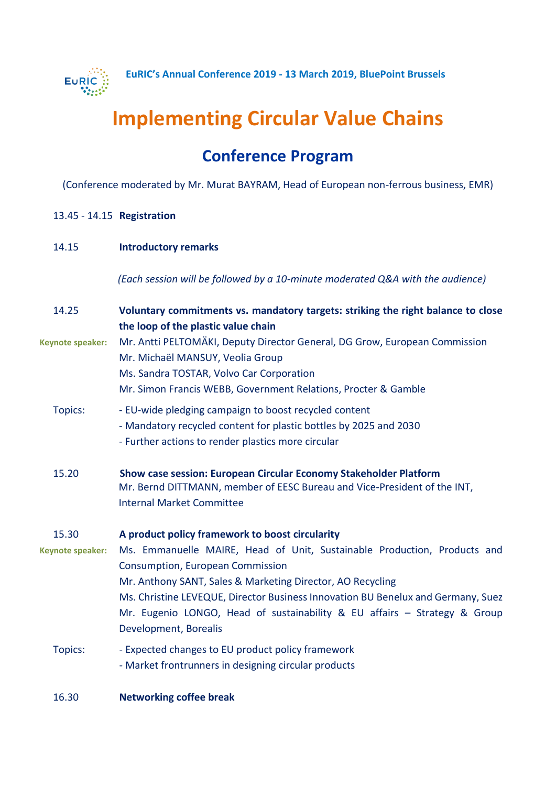

# **Implementing Circular Value Chains**

## **Conference Program**

(Conference moderated by Mr. Murat BAYRAM, Head of European non-ferrous business, EMR)

#### 13.45 - 14.15 **Registration**

#### 14.15 **Introductory remarks**

 *(Each session will be followed by a 10-minute moderated Q&A with the audience)*

| 14.25                   | Voluntary commitments vs. mandatory targets: striking the right balance to close<br>the loop of the plastic value chain                                                                                                                                                                                                                                                     |
|-------------------------|-----------------------------------------------------------------------------------------------------------------------------------------------------------------------------------------------------------------------------------------------------------------------------------------------------------------------------------------------------------------------------|
| <b>Keynote speaker:</b> | Mr. Antti PELTOMÄKI, Deputy Director General, DG Grow, European Commission<br>Mr. Michaël MANSUY, Veolia Group<br>Ms. Sandra TOSTAR, Volvo Car Corporation<br>Mr. Simon Francis WEBB, Government Relations, Procter & Gamble                                                                                                                                                |
| Topics:                 | - EU-wide pledging campaign to boost recycled content<br>- Mandatory recycled content for plastic bottles by 2025 and 2030<br>- Further actions to render plastics more circular                                                                                                                                                                                            |
| 15.20                   | Show case session: European Circular Economy Stakeholder Platform<br>Mr. Bernd DITTMANN, member of EESC Bureau and Vice-President of the INT,<br><b>Internal Market Committee</b>                                                                                                                                                                                           |
| 15.30                   | A product policy framework to boost circularity                                                                                                                                                                                                                                                                                                                             |
| Keynote speaker:        | Ms. Emmanuelle MAIRE, Head of Unit, Sustainable Production, Products and<br><b>Consumption, European Commission</b><br>Mr. Anthony SANT, Sales & Marketing Director, AO Recycling<br>Ms. Christine LEVEQUE, Director Business Innovation BU Benelux and Germany, Suez<br>Mr. Eugenio LONGO, Head of sustainability & EU affairs - Strategy & Group<br>Development, Borealis |
| Topics:                 | - Expected changes to EU product policy framework<br>- Market frontrunners in designing circular products                                                                                                                                                                                                                                                                   |
| 16.30                   | <b>Networking coffee break</b>                                                                                                                                                                                                                                                                                                                                              |